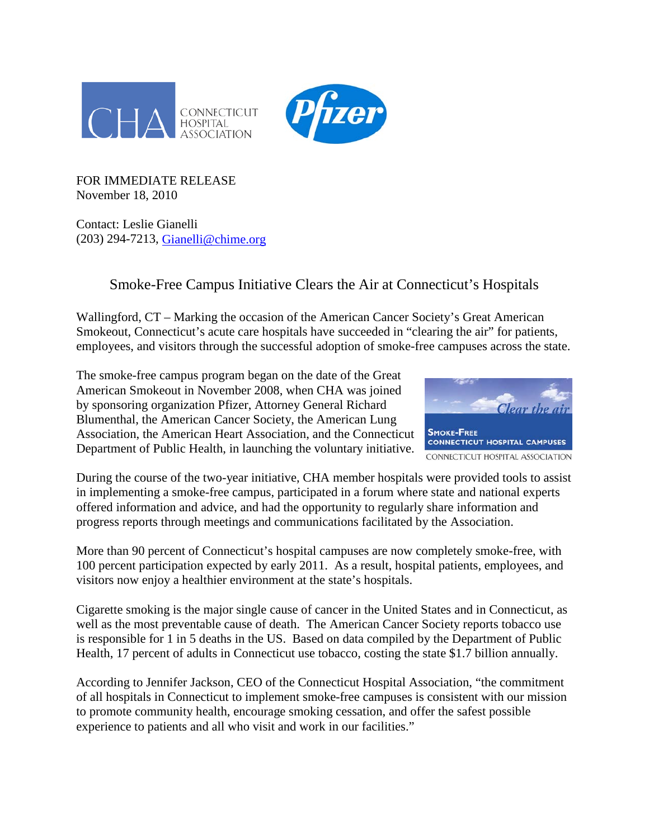



FOR IMMEDIATE RELEASE November 18, 2010

Contact: Leslie Gianelli (203) 294-7213, [Gianelli@chime.org](mailto:Gianelli@chime.org)

## Smoke-Free Campus Initiative Clears the Air at Connecticut's Hospitals

Wallingford, CT – Marking the occasion of the American Cancer Society's Great American Smokeout, Connecticut's acute care hospitals have succeeded in "clearing the air" for patients, employees, and visitors through the successful adoption of smoke-free campuses across the state.

The smoke-free campus program began on the date of the Great American Smokeout in November 2008, when CHA was joined by sponsoring organization Pfizer, Attorney General Richard Blumenthal, the American Cancer Society, the American Lung Association, the American Heart Association, and the Connecticut Department of Public Health, in launching the voluntary initiative.



During the course of the two-year initiative, CHA member hospitals were provided tools to assist in implementing a smoke-free campus, participated in a forum where state and national experts offered information and advice, and had the opportunity to regularly share information and progress reports through meetings and communications facilitated by the Association.

More than 90 percent of Connecticut's hospital campuses are now completely smoke-free, with 100 percent participation expected by early 2011. As a result, hospital patients, employees, and visitors now enjoy a healthier environment at the state's hospitals.

Cigarette smoking is the major single cause of cancer in the United States and in Connecticut, as well as the most preventable cause of death. The American Cancer Society reports tobacco use is responsible for 1 in 5 deaths in the US. Based on data compiled by the Department of Public Health, 17 percent of adults in Connecticut use tobacco, costing the state \$1.7 billion annually.

According to Jennifer Jackson, CEO of the Connecticut Hospital Association, "the commitment of all hospitals in Connecticut to implement smoke-free campuses is consistent with our mission to promote community health, encourage smoking cessation, and offer the safest possible experience to patients and all who visit and work in our facilities."